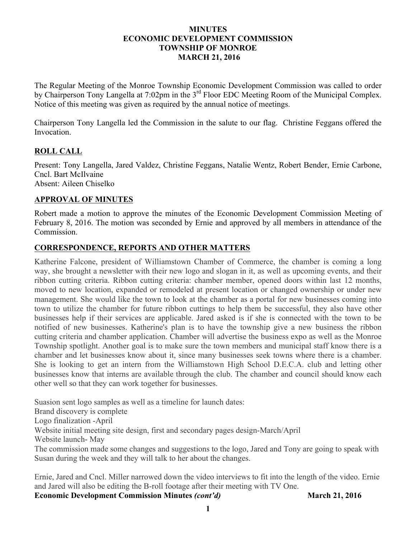#### **MINUTES ECONOMIC DEVELOPMENT COMMISSION TOWNSHIP OF MONROE MARCH 21, 2016**

The Regular Meeting of the Monroe Township Economic Development Commission was called to order by Chairperson Tony Langella at 7:02pm in the 3<sup>rd</sup> Floor EDC Meeting Room of the Municipal Complex. Notice of this meeting was given as required by the annual notice of meetings.

Chairperson Tony Langella led the Commission in the salute to our flag. Christine Feggans offered the Invocation.

## **ROLL CALL**

Present: Tony Langella, Jared Valdez, Christine Feggans, Natalie Wentz, Robert Bender, Ernie Carbone, Cncl. Bart McIlvaine Absent: Aileen Chiselko

### **APPROVAL OF MINUTES**

Robert made a motion to approve the minutes of the Economic Development Commission Meeting of February 8, 2016. The motion was seconded by Ernie and approved by all members in attendance of the Commission.

### **CORRESPONDENCE, REPORTS AND OTHER MATTERS**

Katherine Falcone, president of Williamstown Chamber of Commerce, the chamber is coming a long way, she brought a newsletter with their new logo and slogan in it, as well as upcoming events, and their ribbon cutting criteria. Ribbon cutting criteria: chamber member, opened doors within last 12 months, moved to new location, expanded or remodeled at present location or changed ownership or under new management. She would like the town to look at the chamber as a portal for new businesses coming into town to utilize the chamber for future ribbon cuttings to help them be successful, they also have other businesses help if their services are applicable. Jared asked is if she is connected with the town to be notified of new businesses. Katherine's plan is to have the township give a new business the ribbon cutting criteria and chamber application. Chamber will advertise the business expo as well as the Monroe Township spotlight. Another goal is to make sure the town members and municipal staff know there is a chamber and let businesses know about it, since many businesses seek towns where there is a chamber. She is looking to get an intern from the Williamstown High School D.E.C.A. club and letting other businesses know that interns are available through the club. The chamber and council should know each other well so that they can work together for businesses.

Suasion sent logo samples as well as a timeline for launch dates: Brand discovery is complete Logo finalization -April Website initial meeting site design, first and secondary pages design-March/April Website launch- May The commission made some changes and suggestions to the logo, Jared and Tony are going to speak with Susan during the week and they will talk to her about the changes.

Ernie, Jared and Cncl. Miller narrowed down the video interviews to fit into the length of the video. Ernie and Jared will also be editing the B-roll footage after their meeting with TV One.

**Economic Development Commission Minutes** *(cont'd)* **March 21, 2016**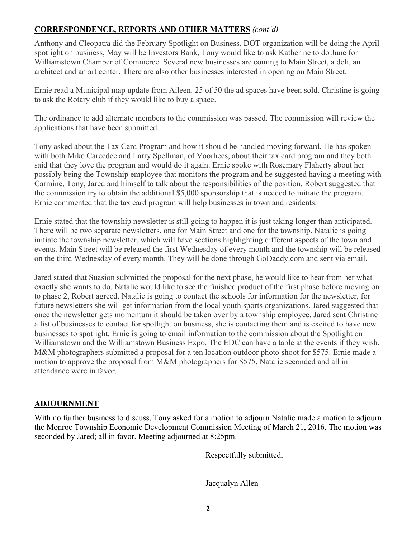# **CORRESPONDENCE, REPORTS AND OTHER MATTERS** *(cont'd)*

Anthony and Cleopatra did the February Spotlight on Business. DOT organization will be doing the April spotlight on business, May will be Investors Bank, Tony would like to ask Katherine to do June for Williamstown Chamber of Commerce. Several new businesses are coming to Main Street, a deli, an architect and an art center. There are also other businesses interested in opening on Main Street.

Ernie read a Municipal map update from Aileen. 25 of 50 the ad spaces have been sold. Christine is going to ask the Rotary club if they would like to buy a space.

The ordinance to add alternate members to the commission was passed. The commission will review the applications that have been submitted.

Tony asked about the Tax Card Program and how it should be handled moving forward. He has spoken with both Mike Carcedee and Larry Spellman, of Voorhees, about their tax card program and they both said that they love the program and would do it again. Ernie spoke with Rosemary Flaherty about her possibly being the Township employee that monitors the program and he suggested having a meeting with Carmine, Tony, Jared and himself to talk about the responsibilities of the position. Robert suggested that the commission try to obtain the additional \$5,000 sponsorship that is needed to initiate the program. Ernie commented that the tax card program will help businesses in town and residents.

Ernie stated that the township newsletter is still going to happen it is just taking longer than anticipated. There will be two separate newsletters, one for Main Street and one for the township. Natalie is going initiate the township newsletter, which will have sections highlighting different aspects of the town and events. Main Street will be released the first Wednesday of every month and the township will be released on the third Wednesday of every month. They will be done through GoDaddy.com and sent via email.

Jared stated that Suasion submitted the proposal for the next phase, he would like to hear from her what exactly she wants to do. Natalie would like to see the finished product of the first phase before moving on to phase 2, Robert agreed. Natalie is going to contact the schools for information for the newsletter, for future newsletters she will get information from the local youth sports organizations. Jared suggested that once the newsletter gets momentum it should be taken over by a township employee. Jared sent Christine a list of businesses to contact for spotlight on business, she is contacting them and is excited to have new businesses to spotlight. Ernie is going to email information to the commission about the Spotlight on Williamstown and the Williamstown Business Expo. The EDC can have a table at the events if they wish. M&M photographers submitted a proposal for a ten location outdoor photo shoot for \$575. Ernie made a motion to approve the proposal from M&M photographers for \$575, Natalie seconded and all in attendance were in favor.

## **ADJOURNMENT**

With no further business to discuss, Tony asked for a motion to adjourn Natalie made a motion to adjourn the Monroe Township Economic Development Commission Meeting of March 21, 2016. The motion was seconded by Jared; all in favor. Meeting adjourned at 8:25pm.

Respectfully submitted,

Jacqualyn Allen